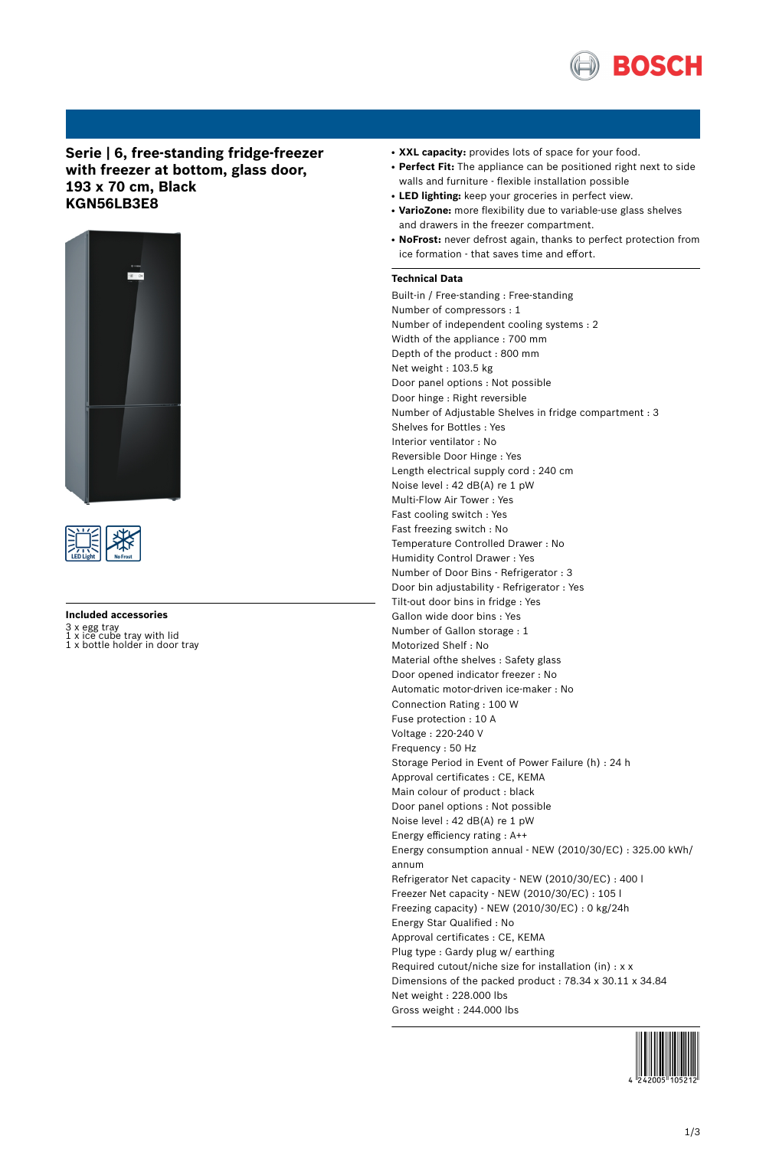

## **Serie | 6, free-standing fridge-freezer with freezer at bottom, glass door, 193 x 70 cm, Black KGN56LB3E8**





**Included accessories**

3 x egg tray 1 x ice cube tray with lid 1 x bottle holder in door tray

- XXL capacity: provides lots of space for your food.
- Perfect Fit: The appliance can be positioned right next to side walls and furniture - flexible installation possible
- **LED lighting:** keep your groceries in perfect view.
- **VarioZone:** more flexibility due to variable-use glass shelves and drawers in the freezer compartment.
- NoFrost: never defrost again, thanks to perfect protection from ice formation - that saves time and effort.

#### **Technical Data**

Built-in / Free-standing : Free-standing Number of compressors : 1 Number of independent cooling systems : 2 Width of the appliance : 700 mm Depth of the product : 800 mm Net weight : 103.5 kg Door panel options : Not possible Door hinge : Right reversible Number of Adjustable Shelves in fridge compartment : 3 Shelves for Bottles : Yes Interior ventilator : No Reversible Door Hinge : Yes Length electrical supply cord : 240 cm Noise level : 42 dB(A) re 1 pW Multi-Flow Air Tower : Yes Fast cooling switch : Yes Fast freezing switch : No Temperature Controlled Drawer : No Humidity Control Drawer : Yes Number of Door Bins - Refrigerator : 3 Door bin adjustability - Refrigerator : Yes Tilt-out door bins in fridge : Yes Gallon wide door bins : Yes Number of Gallon storage : 1 Motorized Shelf : No Material ofthe shelves : Safety glass Door opened indicator freezer : No Automatic motor-driven ice-maker : No Connection Rating : 100 W Fuse protection : 10 A Voltage : 220-240 V Frequency : 50 Hz Storage Period in Event of Power Failure (h) : 24 h Approval certificates : CE, KEMA Main colour of product : black Door panel options : Not possible Noise level : 42 dB(A) re 1 pW Energy efficiency rating : A++ Energy consumption annual - NEW (2010/30/EC) : 325.00 kWh/ annum Refrigerator Net capacity - NEW (2010/30/EC) : 400 l Freezer Net capacity - NEW (2010/30/EC) : 105 l Freezing capacity) - NEW (2010/30/EC) : 0 kg/24h Energy Star Qualified : No Approval certificates : CE, KEMA Plug type : Gardy plug w/ earthing Required cutout/niche size for installation (in) : x x Dimensions of the packed product : 78.34 x 30.11 x 34.84 Net weight : 228.000 lbs Gross weight : 244.000 lbs

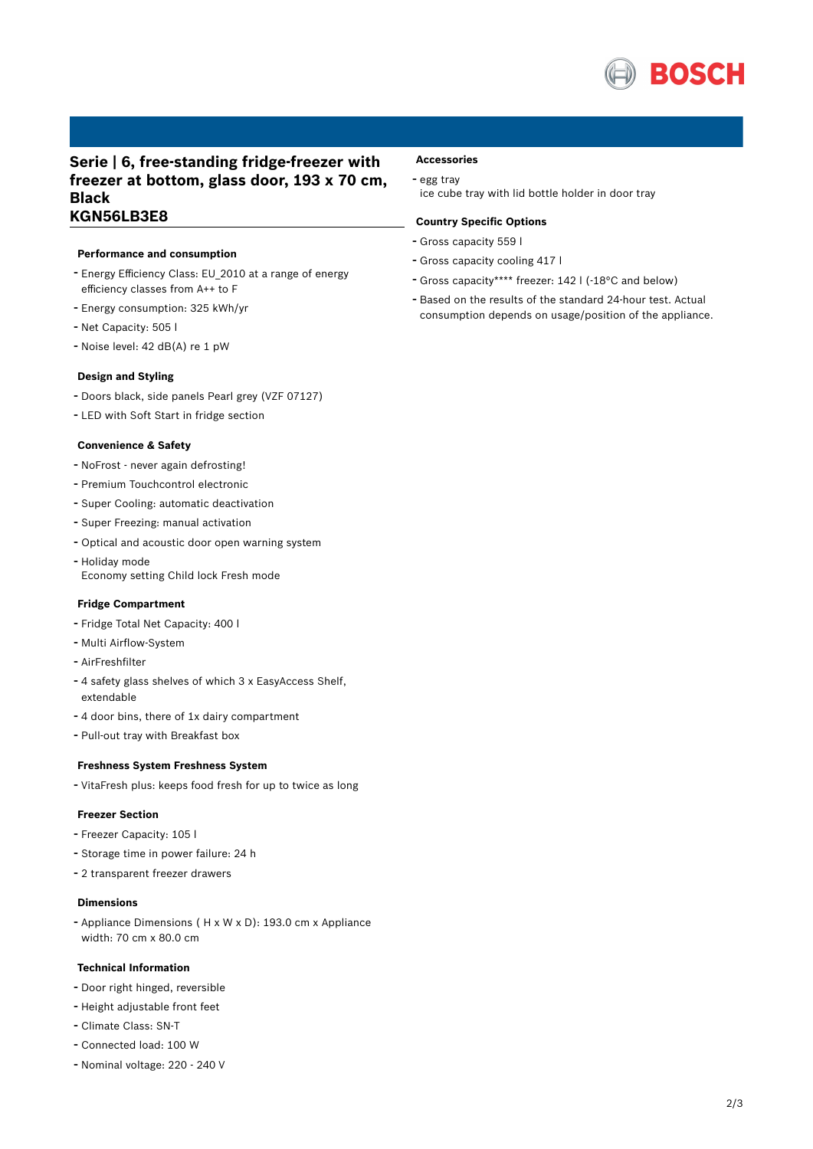

### **Serie | 6, free-standing fridge-freezer with freezer at bottom, glass door, 193 x 70 cm, Black KGN56LB3E8**

#### **Performance and consumption**

- Energy Efficiency Class: EU\_2010 at <sup>a</sup> range of energy efficiency classes from A++ to F
- Energy consumption: <sup>325</sup> kWh/yr
- Net Capacity: <sup>505</sup> <sup>l</sup>
- Noise level: <sup>42</sup> dB(A) re <sup>1</sup> pW

#### **Design and Styling**

- Doors black, side panels Pearl grey (VZF 07127)
- LED with Soft Start in fridge section

#### **Convenience & Safety**

- NoFrost never again defrosting!
- Premium Touchcontrol electronic
- Super Cooling: automatic deactivation
- Super Freezing: manual activation
- Optical and acoustic door open warning system
- Holiday mode
- Economy setting Child lock Fresh mode

#### **Fridge Compartment**

- Fridge Total Net Capacity: <sup>400</sup> <sup>l</sup>
- Multi Airflow-System
- AirFreshfilter
- <sup>4</sup> safety glass shelves of which <sup>3</sup> <sup>x</sup> EasyAccess Shelf, extendable
- <sup>4</sup> door bins, there of 1x dairy compartment
- Pull-out tray with Breakfast box

#### **Freshness System Freshness System**

- VitaFresh plus: keeps food fresh for up to twice as long

#### **Freezer Section**

- Freezer Capacity: <sup>105</sup> <sup>l</sup>
- Storage time in power failure: <sup>24</sup> <sup>h</sup>
- <sup>2</sup> transparent freezer drawers

#### **Dimensions**

- Appliance Dimensions ( H x W x D): 193.0 cm x Appliance width: 70 cm x 80.0 cm

#### **Technical Information**

- Door right hinged, reversible
- Height adjustable front feet
- Climate Class: SN-T
- Connected load: <sup>100</sup> <sup>W</sup>
- Nominal voltage: <sup>220</sup> <sup>240</sup> <sup>V</sup>

# **Accessories**

## - egg tray

ice cube tray with lid bottle holder in door tray

#### **Country Specific Options**

- Gross capacity <sup>559</sup> <sup>l</sup>
- Gross capacity cooling <sup>417</sup> <sup>l</sup>
- Gross capacity\*\*\*\* freezer: <sup>142</sup> <sup>l</sup> (-18°C and below)
- Based on the results of the standard 24-hour test. Actual consumption depends on usage/position of the appliance.